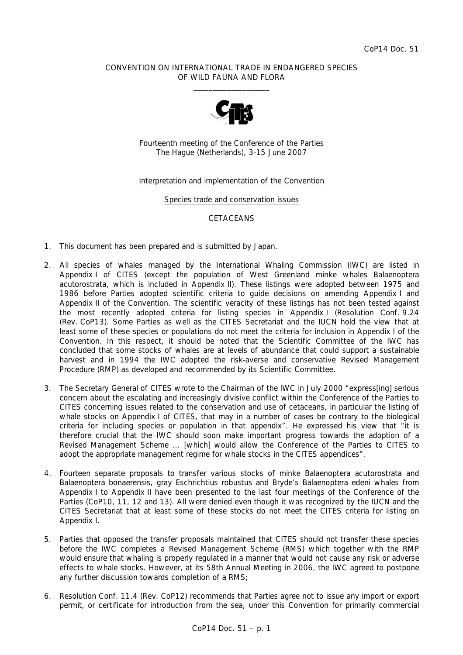## CONVENTION ON INTERNATIONAL TRADE IN ENDANGERED SPECIES OF WILD FAUNA AND FLORA  $\frac{1}{2}$  , and the set of the set of the set of the set of the set of the set of the set of the set of the set of the set of the set of the set of the set of the set of the set of the set of the set of the set of the set



Fourteenth meeting of the Conference of the Parties The Hague (Netherlands), 3-15 June 2007

## Interpretation and implementation of the Convention

### Species trade and conservation issues

# **CETACEANS**

- 1. This document has been prepared and is submitted by Japan.
- 2. All species of whales managed by the International Whaling Commission (IWC) are listed in Appendix I of CITES (except the population of West Greenland minke whales *Balaenoptera acutorostrata*, which is included in Appendix II). These listings were adopted between 1975 and 1986 before Parties adopted scientific criteria to guide decisions on amending Appendix I and Appendix II of the Convention. The scientific veracity of these listings has not been tested against the most recently adopted criteria for listing species in Appendix I (Resolution Conf. 9.24 (Rev. CoP13). Some Parties as well as the CITES Secretariat and the IUCN hold the view that at least some of these species or populations do not meet the criteria for inclusion in Appendix I of the Convention. In this respect, it should be noted that the Scientific Committee of the IWC has concluded that some stocks of whales are at levels of abundance that could support a sustainable harvest and in 1994 the IWC adopted the risk-averse and conservative Revised Management Procedure (RMP) as developed and recommended by its Scientific Committee.
- 3. The Secretary General of CITES wrote to the Chairman of the IWC in July 2000 "express[ing] serious concern about the escalating and increasingly divisive conflict within the Conference of the Parties to CITES concerning issues related to the conservation and use of cetaceans, in particular the listing of whale stocks on Appendix I of CITES, that may in a number of cases be contrary to the biological criteria for including species or population in that appendix". He expressed his view that "it is therefore crucial that the IWC should soon make important progress towards the adoption of a Revised Management Scheme … [which] would allow the Conference of the Parties to CITES to adopt the appropriate management regime for whale stocks in the CITES appendices".
- 4. Fourteen separate proposals to transfer various stocks of minke *Balaenoptera acutorostrata* and *Balaenoptera bonaerensis*, gray *Eschrichtius robustus* and Bryde's *Balaenoptera edeni* whales from Appendix I to Appendix II have been presented to the last four meetings of the Conference of the Parties (CoP10, 11, 12 and 13). All were denied even though it was recognized by the IUCN and the CITES Secretariat that at least some of these stocks do not meet the CITES criteria for listing on Appendix I.
- 5. Parties that opposed the transfer proposals maintained that CITES should not transfer these species before the IWC completes a Revised Management Scheme (RMS) which together with the RMP would ensure that whaling is properly regulated in a manner that would not cause any risk or adverse effects to whale stocks. However, at its 58th Annual Meeting in 2006, the IWC agreed to postpone any further discussion towards completion of a RMS;
- 6. Resolution Conf. 11.4 (Rev. CoP12) recommends that Parties agree not to issue any import or export permit, or certificate for introduction from the sea, under this Convention for primarily commercial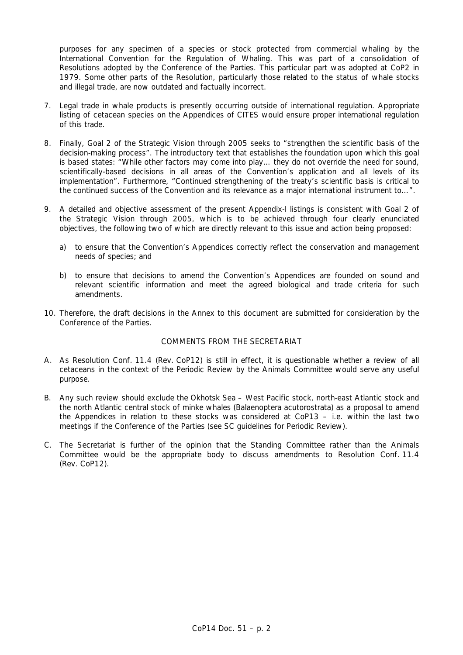purposes for any specimen of a species or stock protected from commercial whaling by the International Convention for the Regulation of Whaling. This was part of a consolidation of Resolutions adopted by the Conference of the Parties. This particular part was adopted at CoP2 in 1979. Some other parts of the Resolution, particularly those related to the status of whale stocks and illegal trade, are now outdated and factually incorrect.

- 7. Legal trade in whale products is presently occurring outside of international regulation. Appropriate listing of cetacean species on the Appendices of CITES would ensure proper international regulation of this trade.
- 8. Finally, Goal 2 of the Strategic Vision through 2005 seeks to "strengthen the scientific basis of the decision-making process". The introductory text that establishes the foundation upon which this goal is based states: "While other factors may come into play… they do not override the need for sound, scientifically-based decisions in all areas of the Convention's application and all levels of its implementation". Furthermore, "Continued strengthening of the treaty's scientific basis is critical to the continued success of the Convention and its relevance as a major international instrument to…".
- 9. A detailed and objective assessment of the present Appendix-I listings is consistent with Goal 2 of the Strategic Vision through 2005, which is to be achieved through four clearly enunciated objectives, the following two of which are directly relevant to this issue and action being proposed:
	- a) to ensure that the Convention's Appendices correctly reflect the conservation and management needs of species; and
	- b) to ensure that decisions to amend the Convention's Appendices are founded on sound and relevant scientific information and meet the agreed biological and trade criteria for such amendments.
- 10. Therefore, the draft decisions in the Annex to this document are submitted for consideration by the Conference of the Parties.

# COMMENTS FROM THE SECRETARIAT

- A. As Resolution Conf. 11.4 (Rev. CoP12) is still in effect, it is questionable whether a review of all cetaceans in the context of the Periodic Review by the Animals Committee would serve any useful purpose.
- B. Any such review should exclude the Okhotsk Sea West Pacific stock, north-east Atlantic stock and the north Atlantic central stock of minke whales *(Balaenoptera acutorostrata)* as a proposal to amend the Appendices in relation to these stocks was considered at CoP13 – i.e. within the last two meetings if the Conference of the Parties (see SC guidelines for Periodic Review).
- C. The Secretariat is further of the opinion that the Standing Committee rather than the Animals Committee would be the appropriate body to discuss amendments to Resolution Conf. 11.4 (Rev. CoP12).